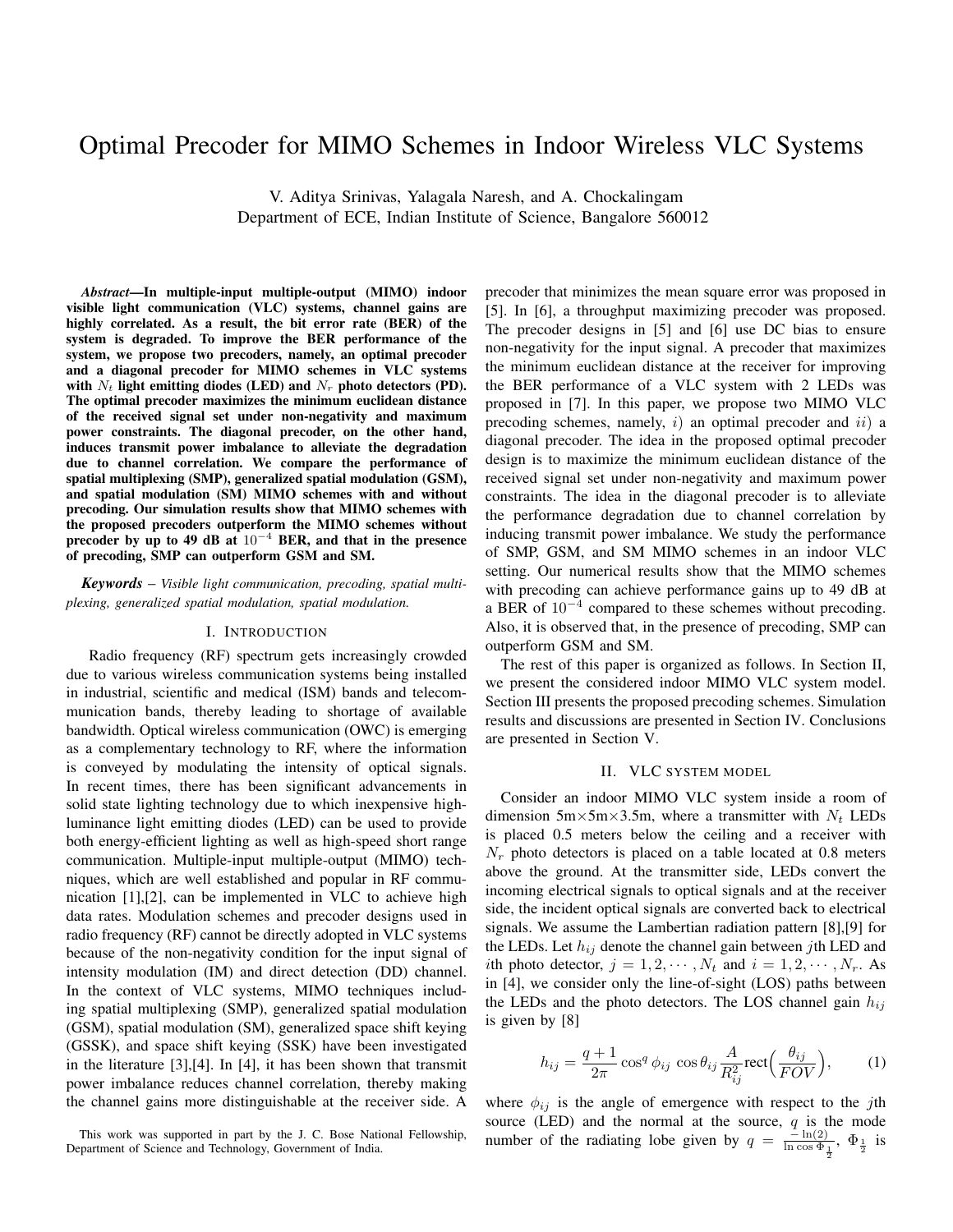# Optimal Precoder for MIMO Schemes in Indoor Wireless VLC Systems

V. Aditya Srinivas, Yalagala Naresh, and A. Chockalingam Department of ECE, Indian Institute of Science, Bangalore 560012

*Abstract*—In multiple-input multiple-output (MIMO) indoor visible light communication (VLC) systems, channel gains are highly correlated. As a result, the bit error rate (BER) of the system is degraded. To improve the BER performance of the system, we propose two precoders, namely, an optimal precoder and a diagonal precoder for MIMO schemes in VLC systems with  $N_t$  light emitting diodes (LED) and  $N_r$  photo detectors (PD). The optimal precoder maximizes the minimum euclidean distance of the received signal set under non-negativity and maximum power constraints. The diagonal precoder, on the other hand, induces transmit power imbalance to alleviate the degradation due to channel correlation. We compare the performance of spatial multiplexing (SMP), generalized spatial modulation (GSM), and spatial modulation (SM) MIMO schemes with and without precoding. Our simulation results show that MIMO schemes with the proposed precoders outperform the MIMO schemes without precoder by up to 49 dB at 10*−*<sup>4</sup> BER, and that in the presence of precoding, SMP can outperform GSM and SM.

*Keywords* – *Visible light communication, precoding, spatial multiplexing, generalized spatial modulation, spatial modulation.*

#### I. INTRODUCTION

Radio frequency (RF) spectrum gets increasingly crowded due to various wireless communication systems being installed in industrial, scientific and medical (ISM) bands and telecommunication bands, thereby leading to shortage of available bandwidth. Optical wireless communication (OWC) is emerging as a complementary technology to RF, where the information is conveyed by modulating the intensity of optical signals. In recent times, there has been significant advancements in solid state lighting technology due to which inexpensive highluminance light emitting diodes (LED) can be used to provide both energy-efficient lighting as well as high-speed short range communication. Multiple-input multiple-output (MIMO) techniques, which are well established and popular in RF communication [1],[2], can be implemented in VLC to achieve high data rates. Modulation schemes and precoder designs used in radio frequency (RF) cannot be directly adopted in VLC systems because of the non-negativity condition for the input signal of intensity modulation (IM) and direct detection (DD) channel. In the context of VLC systems, MIMO techniques including spatial multiplexing (SMP), generalized spatial modulation (GSM), spatial modulation (SM), generalized space shift keying (GSSK), and space shift keying (SSK) have been investigated in the literature [3],[4]. In [4], it has been shown that transmit power imbalance reduces channel correlation, thereby making the channel gains more distinguishable at the receiver side. A precoder that minimizes the mean square error was proposed in [5]. In [6], a throughput maximizing precoder was proposed. The precoder designs in [5] and [6] use DC bias to ensure non-negativity for the input signal. A precoder that maximizes the minimum euclidean distance at the receiver for improving the BER performance of a VLC system with 2 LEDs was proposed in [7]. In this paper, we propose two MIMO VLC precoding schemes, namely, *i*) an optimal precoder and *ii*) a diagonal precoder. The idea in the proposed optimal precoder design is to maximize the minimum euclidean distance of the received signal set under non-negativity and maximum power constraints. The idea in the diagonal precoder is to alleviate the performance degradation due to channel correlation by inducing transmit power imbalance. We study the performance of SMP, GSM, and SM MIMO schemes in an indoor VLC setting. Our numerical results show that the MIMO schemes with precoding can achieve performance gains up to 49 dB at a BER of 10*−*<sup>4</sup> compared to these schemes without precoding. Also, it is observed that, in the presence of precoding, SMP can outperform GSM and SM.

The rest of this paper is organized as follows. In Section II, we present the considered indoor MIMO VLC system model. Section III presents the proposed precoding schemes. Simulation results and discussions are presented in Section IV. Conclusions are presented in Section V.

### II. VLC SYSTEM MODEL

Consider an indoor MIMO VLC system inside a room of dimension  $5m \times 5m \times 3.5m$ , where a transmitter with  $N_t$  LEDs is placed 0.5 meters below the ceiling and a receiver with  $N_r$  photo detectors is placed on a table located at 0.8 meters above the ground. At the transmitter side, LEDs convert the incoming electrical signals to optical signals and at the receiver side, the incident optical signals are converted back to electrical signals. We assume the Lambertian radiation pattern [8],[9] for the LEDs. Let  $h_{ij}$  denote the channel gain between *j*th LED and *i*th photo detector,  $j = 1, 2, \cdots, N_t$  and  $i = 1, 2, \cdots, N_r$ . As in [4], we consider only the line-of-sight (LOS) paths between the LEDs and the photo detectors. The LOS channel gain  $h_{ij}$ is given by [8]

$$
h_{ij} = \frac{q+1}{2\pi} \cos^q \phi_{ij} \cos \theta_{ij} \frac{A}{R_{ij}^2} \text{rect}\Big(\frac{\theta_{ij}}{FOV}\Big),\tag{1}
$$

where  $\phi_{ij}$  is the angle of emergence with respect to the *j*th source (LED) and the normal at the source,  $q$  is the mode number of the radiating lobe given by  $q = \frac{-\ln(2)}{\ln \cos \Phi_{\frac{1}{2}}}, \Phi_{\frac{1}{2}}$  is

This work was supported in part by the J. C. Bose National Fellowship, Department of Science and Technology, Government of India.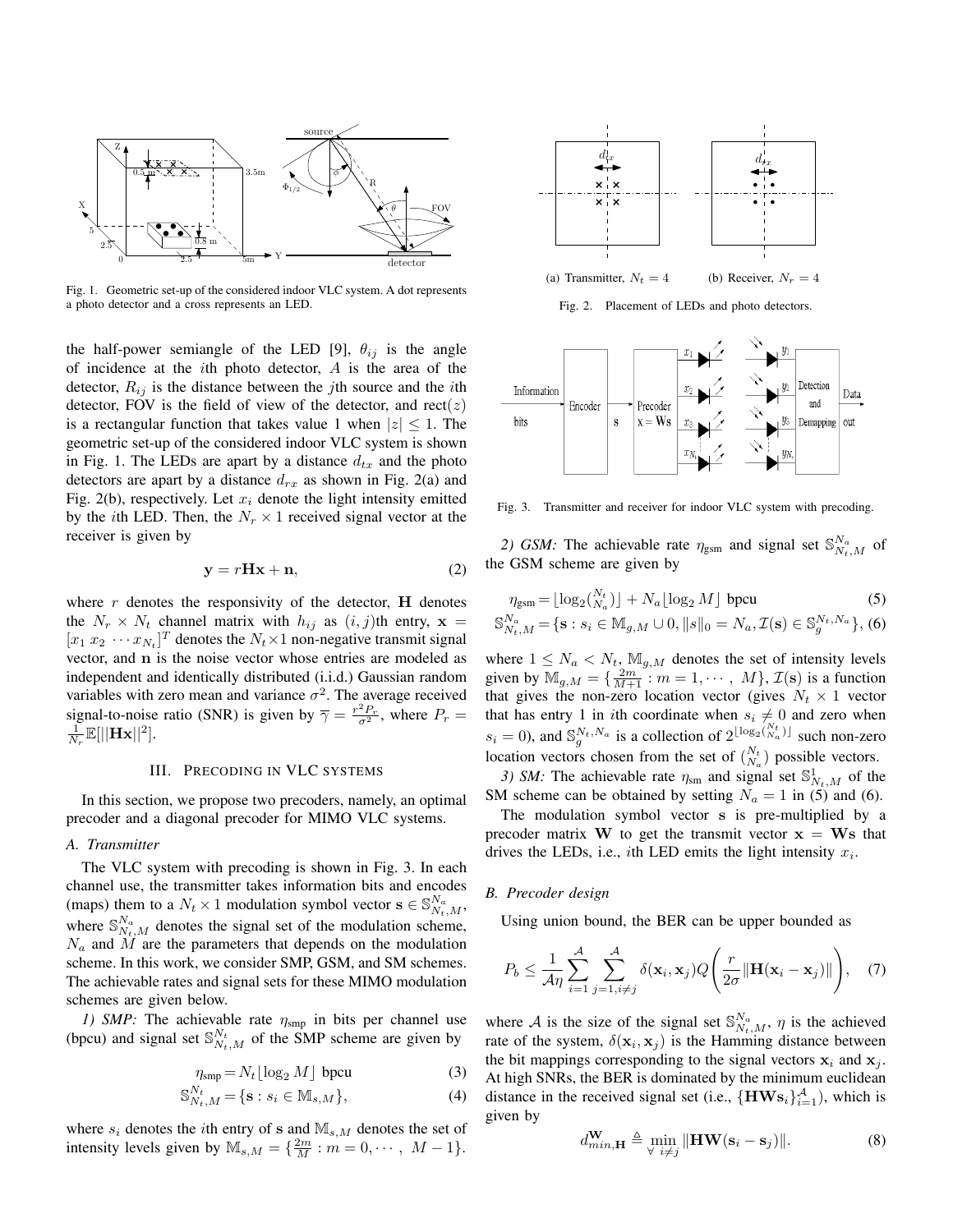

Fig. 1. Geometric set-up of the considered indoor VLC system. A dot represents a photo detector and a cross represents an LED.

the half-power semiangle of the LED [9],  $\theta_{ij}$  is the angle of incidence at the *i*th photo detector, *A* is the area of the detector,  $R_{ij}$  is the distance between the *j*th source and the *i*th detector, FOV is the field of view of the detector, and  $rect(z)$ is a rectangular function that takes value 1 when  $|z| \leq 1$ . The geometric set-up of the considered indoor VLC system is shown in Fig. 1. The LEDs are apart by a distance  $d_{tx}$  and the photo detectors are apart by a distance  $d_{rx}$  as shown in Fig. 2(a) and Fig. 2(b), respectively. Let  $x_i$  denote the light intensity emitted by the *i*th LED. Then, the  $N_r \times 1$  received signal vector at the receiver is given by

$$
y = rHx + n,\t(2)
$$

where  $r$  denotes the responsivity of the detector,  $H$  denotes the  $N_r \times N_t$  channel matrix with  $h_{ij}$  as  $(i, j)$ th entry,  $\mathbf{x} =$  $[x_1 x_2 \cdots x_{N_t}]^T$  denotes the  $N_t \times 1$  non-negative transmit signal vector, and **n** is the noise vector whose entries are modeled as independent and identically distributed (i.i.d.) Gaussian random variables with zero mean and variance  $\sigma^2$ . The average received signal-to-noise ratio (SNR) is given by  $\overline{\gamma} = \frac{r^2 P_r}{\sigma^2}$ , where  $P_r =$  $\frac{1}{N_r}\mathbb{E}[||\mathbf{Hx}||^2].$ 

#### III. PRECODING IN VLC SYSTEMS

In this section, we propose two precoders, namely, an optimal precoder and a diagonal precoder for MIMO VLC systems.

## *A. Transmitter*

The VLC system with precoding is shown in Fig. 3. In each channel use, the transmitter takes information bits and encodes (maps) them to a  $N_t \times 1$  modulation symbol vector  $\mathbf{s} \in \mathbb{S}_{N_t,M}^{N_a}$ , where  $\mathbb{S}_{N_t,M}^{N_a}$  denotes the signal set of the modulation scheme, *N<sup>a</sup>* and *M* are the parameters that depends on the modulation scheme. In this work, we consider SMP, GSM, and SM schemes. The achievable rates and signal sets for these MIMO modulation schemes are given below.

*1) SMP:* The achievable rate *η*smp in bits per channel use (bpcu) and signal set  $\mathbb{S}_{N_t,M}^{N_t}$  of the SMP scheme are given by

$$
\eta_{\rm smp} = N_t \lfloor \log_2 M \rfloor \text{ bpcu}
$$
 (3)

$$
\mathbb{S}_{N_t,M}^{N_t} = \{ \mathbf{s} : s_i \in \mathbb{M}_{s,M} \},\tag{4}
$$

where  $s_i$  denotes the *i*th entry of **s** and  $\mathbb{M}_{s,M}$  denotes the set of intensity levels given by  $\mathbb{M}_{s,M} = \{\frac{2m}{M} : m = 0, \cdots, M-1\}.$ 



Fig. 2. Placement of LEDs and photo detectors.



Fig. 3. Transmitter and receiver for indoor VLC system with precoding.

2) *GSM:* The achievable rate  $\eta_{\text{gsm}}$  and signal set  $\mathbb{S}_{N_t,M}^{N_a}$  of the GSM scheme are given by

$$
\eta_{\text{gsm}} = \lfloor \log_2\binom{N_t}{N_a} \rfloor + N_a \lfloor \log_2 M \rfloor \text{ bpcu}
$$
(5)  

$$
\mathbb{S}_{N_t,M}^{N_a} = \{ \mathbf{s} : s_i \in \mathbb{M}_{g,M} \cup 0, ||s||_0 = N_a, \mathcal{I}(\mathbf{s}) \in \mathbb{S}_g^{N_t, N_a} \},
$$
(6)

where  $1 \leq N_a < N_t$ ,  $\mathbb{M}_{q,M}$  denotes the set of intensity levels given by  $\mathbb{M}_{g,M} = \{\frac{2m}{M+1} : m = 1, \cdots, M\}, \mathcal{I}(\mathbf{s})$  is a function that gives the non-zero location vector (gives  $N_t \times 1$  vector that has entry 1 in *i*th coordinate when  $s_i \neq 0$  and zero when  $s_i = 0$ ), and  $\mathbb{S}_g^{N_t, N_a}$  is a collection of  $2^{\lfloor \log_2(N_a^t) \rfloor}$  such non-zero location vectors chosen from the set of  $\binom{N_t}{N_a}$  possible vectors.

*3) SM*: The achievable rate  $\eta_{\text{sm}}$  and signal set  $\mathbb{S}^1_{N_t,M}$  of the SM scheme can be obtained by setting  $N_a = 1$  in (5) and (6).

The modulation symbol vector **s** is pre-multiplied by a precoder matrix **W** to get the transmit vector  $x = Ws$  that drives the LEDs, i.e., *i*th LED emits the light intensity *x<sup>i</sup>* .

#### *B. Precoder design*

Using union bound, the BER can be upper bounded as

$$
P_b \leq \frac{1}{\mathcal{A}\eta} \sum_{i=1}^{\mathcal{A}} \sum_{j=1, i \neq j}^{\mathcal{A}} \delta(\mathbf{x}_i, \mathbf{x}_j) Q\left(\frac{r}{2\sigma} || \mathbf{H}(\mathbf{x}_i - \mathbf{x}_j) ||\right), \quad (7)
$$

where *A* is the size of the signal set  $\mathbb{S}_{N_t,M}^{N_a}$ ,  $\eta$  is the achieved rate of the system,  $\delta(\mathbf{x}_i, \mathbf{x}_j)$  is the Hamming distance between the bit mappings corresponding to the signal vectors  $x_i$  and  $x_j$ . At high SNRs, the BER is dominated by the minimum euclidean distance in the received signal set (i.e.,  ${H}$ **W** ${s_i}_{i=1}^A$ ), which is given by

$$
d_{min,\mathbf{H}}^{\mathbf{W}} \triangleq \min_{\forall i \neq j} \|\mathbf{H} \mathbf{W}(\mathbf{s}_i - \mathbf{s}_j)\|.
$$
 (8)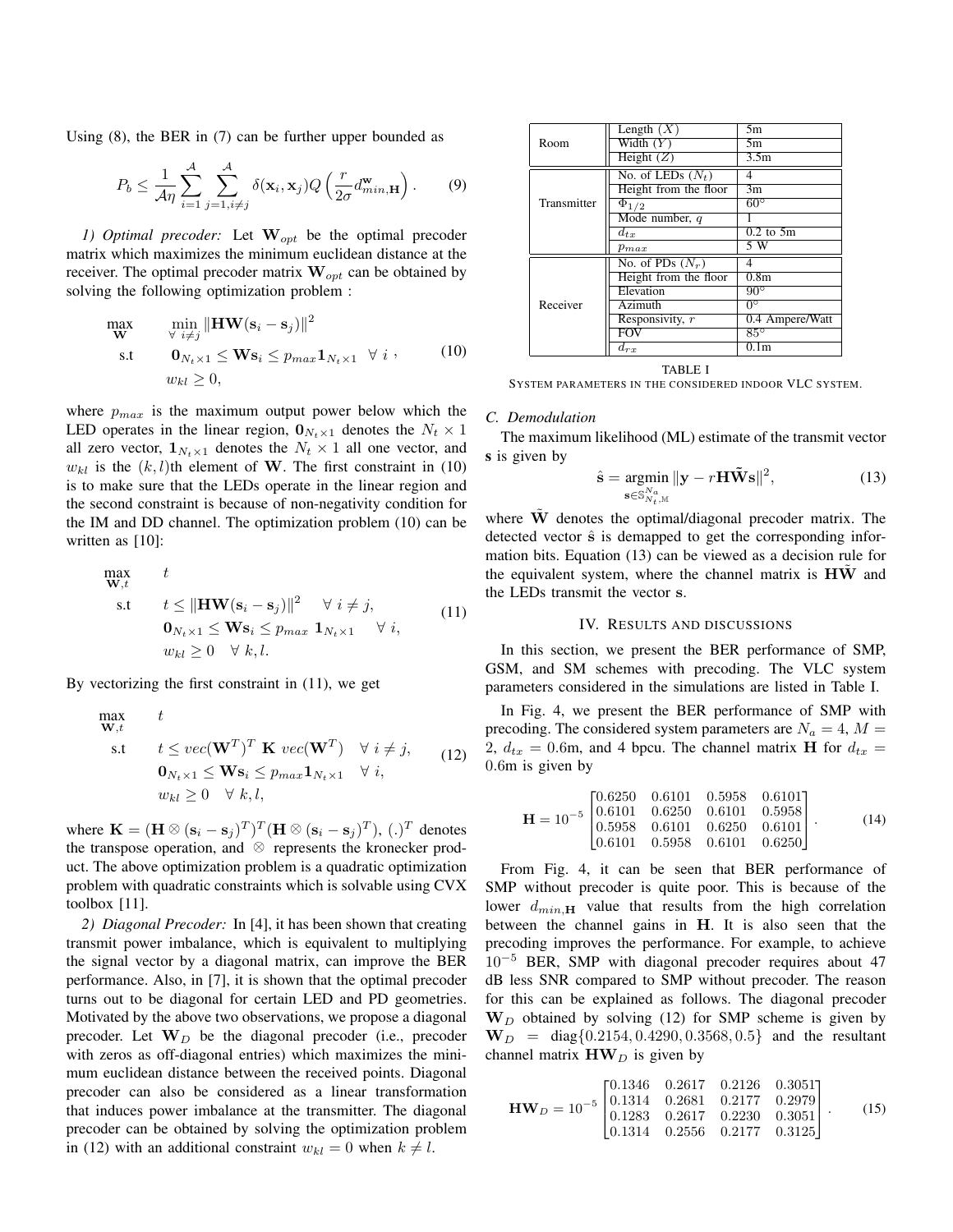Using (8), the BER in (7) can be further upper bounded as

$$
P_b \le \frac{1}{\mathcal{A}\eta} \sum_{i=1}^{\mathcal{A}} \sum_{j=1, i \neq j}^{\mathcal{A}} \delta(\mathbf{x}_i, \mathbf{x}_j) Q\left(\frac{r}{2\sigma} d_{min, \mathbf{H}}^{\mathbf{w}}\right).
$$
 (9)

*1) Optimal precoder:* Let **W***opt* be the optimal precoder matrix which maximizes the minimum euclidean distance at the receiver. The optimal precoder matrix **W***opt* can be obtained by solving the following optimization problem :

$$
\begin{array}{ll}\n\max \limits_{\mathbf{W}} & \min \limits_{\forall i \neq j} \|\mathbf{H} \mathbf{W}(\mathbf{s}_i - \mathbf{s}_j)\|^2 \\
\text{s.t} & \mathbf{0}_{N_t \times 1} \leq \mathbf{W} \mathbf{s}_i \leq p_{max} \mathbf{1}_{N_t \times 1} \ \forall i, \qquad (10) \\
w_{kl} \geq 0,\n\end{array}
$$

where *pmax* is the maximum output power below which the LED operates in the linear region,  $\mathbf{0}_{N_t \times 1}$  denotes the  $N_t \times 1$ all zero vector,  $\mathbf{1}_{N_t \times 1}$  denotes the  $N_t \times 1$  all one vector, and  $w_{kl}$  is the  $(k, l)$ th element of **W**. The first constraint in (10) is to make sure that the LEDs operate in the linear region and the second constraint is because of non-negativity condition for the IM and DD channel. The optimization problem (10) can be written as [10]:

$$
\begin{array}{ll}\n\max \mathbf{w}, & t \\
\mathbf{w}, & t \leq \|\mathbf{H} \mathbf{W}(\mathbf{s}_i - \mathbf{s}_j)\|^2 \quad \forall \ i \neq j, \\
\mathbf{0}_{N_t \times 1} \leq \mathbf{W} \mathbf{s}_i \leq p_{max} \ \mathbf{1}_{N_t \times 1} \quad \forall \ i, \\
w_{kl} \geq 0 \quad \forall \ k, l.\n\end{array} \tag{11}
$$

By vectorizing the first constraint in (11), we get

$$
\begin{array}{ll}\n\mathbf{max} & t \\
\mathbf{w}, t & \\
\text{s.t} & t \leq vec(\mathbf{W}^T)^T \mathbf{K} \, vec(\mathbf{W}^T) \quad \forall \ i \neq j, \\
& \mathbf{0}_{N_t \times 1} \leq \mathbf{W} \mathbf{s}_i \leq p_{max} \mathbf{1}_{N_t \times 1} \quad \forall \ i, \\
& w_{kl} \geq 0 \quad \forall \ k, l,\n\end{array} \tag{12}
$$

where  $\mathbf{K} = (\mathbf{H} \otimes (\mathbf{s}_i - \mathbf{s}_j)^T)^T (\mathbf{H} \otimes (\mathbf{s}_i - \mathbf{s}_j)^T)$ ,  $(.)^T$  denotes the transpose operation, and *⊗* represents the kronecker product. The above optimization problem is a quadratic optimization problem with quadratic constraints which is solvable using CVX toolbox [11].

*2) Diagonal Precoder:* In [4], it has been shown that creating transmit power imbalance, which is equivalent to multiplying the signal vector by a diagonal matrix, can improve the BER performance. Also, in [7], it is shown that the optimal precoder turns out to be diagonal for certain LED and PD geometries. Motivated by the above two observations, we propose a diagonal precoder. Let  $W_D$  be the diagonal precoder (i.e., precoder with zeros as off-diagonal entries) which maximizes the minimum euclidean distance between the received points. Diagonal precoder can also be considered as a linear transformation that induces power imbalance at the transmitter. The diagonal precoder can be obtained by solving the optimization problem in (12) with an additional constraint  $w_{kl} = 0$  when  $k \neq l$ .

|             | Length $(X)$            | 5m               |
|-------------|-------------------------|------------------|
| Room        | Width $(Y)$             | 5m               |
|             | Height $(Z)$            | 3.5m             |
| Transmitter | No. of LEDs $(N_t)$     |                  |
|             | Height from the floor   | 3m               |
|             | $\overline{\Phi}_{1/2}$ | $60^{\circ}$     |
|             | Mode number, q          |                  |
|             | $d_{tx}$                | $0.2$ to $5m$    |
|             | $p_{max}$               | 5 W              |
| Receiver    | No. of PDs $(N_r)$      | 4                |
|             | Height from the floor   | 0.8 <sub>m</sub> |
|             | Elevation               | $90^{\circ}$     |
|             | Azimuth                 | 0 <sup>o</sup>   |
|             | Responsivity, r         | 0.4 Ampere/Watt  |
|             | <b>FOV</b>              | $85^\circ$       |
|             | $d_{rx}$                | 0.1 <sub>m</sub> |

TABLE I SYSTEM PARAMETERS IN THE CONSIDERED INDOOR VLC SYSTEM.

## *C. Demodulation*

The maximum likelihood (ML) estimate of the transmit vector s is given by

$$
\hat{\mathbf{s}} = \underset{\mathbf{s} \in \mathbb{S}_{N_t,M}^{N_a}}{\operatorname{argmin}} \|\mathbf{y} - r\mathbf{H}\tilde{\mathbf{W}}\mathbf{s}\|^2,\tag{13}
$$

where  $\tilde{W}$  denotes the optimal/diagonal precoder matrix. The detected vector  $\hat{s}$  is demapped to get the corresponding information bits. Equation (13) can be viewed as a decision rule for the equivalent system, where the channel matrix is **HW** and the LEDs transmit the vector **s**.

#### IV. RESULTS AND DISCUSSIONS

In this section, we present the BER performance of SMP, GSM, and SM schemes with precoding. The VLC system parameters considered in the simulations are listed in Table I.

In Fig. 4, we present the BER performance of SMP with precoding. The considered system parameters are  $N_a = 4$ ,  $M =$ 2,  $d_{tx} = 0.6$ m, and 4 bpcu. The channel matrix **H** for  $d_{tx} =$ 0*.*6m is given by

$$
\mathbf{H} = 10^{-5} \begin{bmatrix} 0.6250 & 0.6101 & 0.5958 & 0.6101 \\ 0.6101 & 0.6250 & 0.6101 & 0.5958 \\ 0.5958 & 0.6101 & 0.6250 & 0.6101 \\ 0.6101 & 0.5958 & 0.6101 & 0.6250 \end{bmatrix} .
$$
 (14)

From Fig. 4, it can be seen that BER performance of SMP without precoder is quite poor. This is because of the lower  $d_{min, \mathbf{H}}$  value that results from the high correlation between the channel gains in **H**. It is also seen that the precoding improves the performance. For example, to achieve 10*−*<sup>5</sup> BER, SMP with diagonal precoder requires about 47 dB less SNR compared to SMP without precoder. The reason for this can be explained as follows. The diagonal precoder **W***<sup>D</sup>* obtained by solving (12) for SMP scheme is given by  $W_D$  = diag{0*.*2154*,* 0*.*4290*,* 0*.*3568*,* 0*.*5*}* and the resultant channel matrix  $\mathbf{H}\mathbf{W}_D$  is given by

$$
\mathbf{HW}_D = 10^{-5} \begin{bmatrix} 0.1346 & 0.2617 & 0.2126 & 0.3051 \\ 0.1314 & 0.2681 & 0.2177 & 0.2979 \\ 0.1283 & 0.2617 & 0.2230 & 0.3051 \\ 0.1314 & 0.2556 & 0.2177 & 0.3125 \end{bmatrix}.
$$
 (15)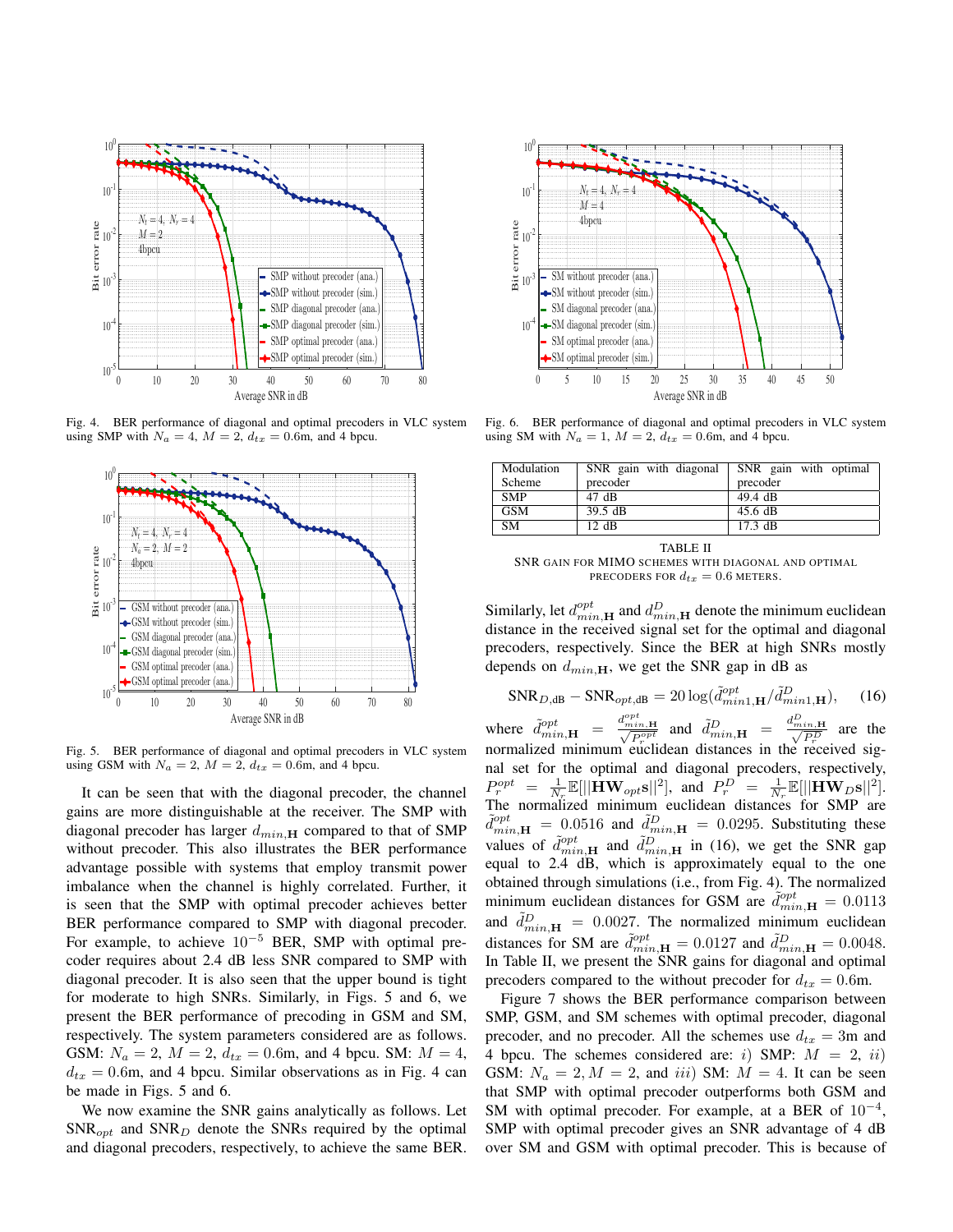

Fig. 4. BER performance of diagonal and optimal precoders in VLC system using SMP with  $N_a = 4$ ,  $M = 2$ ,  $d_{tx} = 0.6$ m, and 4 bpcu.



Fig. 5. BER performance of diagonal and optimal precoders in VLC system using GSM with  $N_a = 2$ ,  $M = 2$ ,  $d_{tx} = 0.6$ m, and 4 bpcu.

It can be seen that with the diagonal precoder, the channel gains are more distinguishable at the receiver. The SMP with diagonal precoder has larger *dmin,***<sup>H</sup>** compared to that of SMP without precoder. This also illustrates the BER performance advantage possible with systems that employ transmit power imbalance when the channel is highly correlated. Further, it is seen that the SMP with optimal precoder achieves better BER performance compared to SMP with diagonal precoder. For example, to achieve 10*−*<sup>5</sup> BER, SMP with optimal precoder requires about 2.4 dB less SNR compared to SMP with diagonal precoder. It is also seen that the upper bound is tight for moderate to high SNRs. Similarly, in Figs. 5 and 6, we present the BER performance of precoding in GSM and SM, respectively. The system parameters considered are as follows. GSM:  $N_a = 2$ ,  $M = 2$ ,  $d_{tx} = 0.6$ m, and 4 bpcu. SM:  $M = 4$ ,  $d_{tx} = 0.6$ m, and 4 bpcu. Similar observations as in Fig. 4 can be made in Figs. 5 and 6.

We now examine the SNR gains analytically as follows. Let SNR*opt* and SNR*<sup>D</sup>* denote the SNRs required by the optimal and diagonal precoders, respectively, to achieve the same BER.



Fig. 6. BER performance of diagonal and optimal precoders in VLC system using SM with  $N_a = 1$ ,  $M = 2$ ,  $d_{tx} = 0.6$ m, and 4 bpcu.

| Modulation | SNR gain with diagonal | SNR gain with optimal |
|------------|------------------------|-----------------------|
| Scheme     | precoder               | precoder              |
| SMP        | $47 \text{ dB}$        | $49.4$ dB             |
| GSM        | 39.5 dB                | $45.6 \text{ dB}$     |
| <b>SM</b>  | 12 dB                  | $17.3 \text{ dB}$     |

TABLE II

SNR GAIN FOR MIMO SCHEMES WITH DIAGONAL AND OPTIMAL PRECODERS FOR  $d_{tx} = 0.6$  METERS.

Similarly, let  $d_{min, \mathbf{H}}^{opt}$  and  $d_{min, \mathbf{H}}^{D}$  denote the minimum euclidean distance in the received signal set for the optimal and diagonal precoders, respectively. Since the BER at high SNRs mostly depends on  $d_{min, H}$ , we get the SNR gap in dB as

$$
\text{SNR}_{D,\text{dB}} - \text{SNR}_{opt,\text{dB}} = 20 \log(\tilde{d}_{min1,\mathbf{H}}^{opt}/\tilde{d}_{min1,\mathbf{H}}^{D}),\tag{16}
$$

where  $\tilde{d}_{min,\mathbf{H}}^{opt} = \frac{d_{min,\mathbf{H}}^{opt}}{\sqrt{P_r^{opt}}}$  and  $\tilde{d}_{min,\mathbf{H}}^{D} = \frac{d_{min,\mathbf{H}}^{D}}{\sqrt{P_r^{D}}}$  are the normalized minimum euclidean distances in the received signal set for the optimal and diagonal precoders, respectively,  $P_r^{opt} = \frac{1}{N_r} \mathbb{E}[||\mathbf{H} \mathbf{W}_{opt} \mathbf{s}||^2],$  and  $P_r^D = \frac{1}{N_r} \mathbb{E}[||\mathbf{H} \mathbf{W}_D \mathbf{s}||^2].$ The normalized minimum euclidean distances for SMP are  $\tilde{d}_{min,\mathbf{H}}^{opt}$  = 0.0516 and  $\tilde{d}_{min,\mathbf{H}}^{D}$  = 0.0295. Substituting these values of  $\tilde{d}_{min,\mathbf{H}}^{opt}$  and  $\tilde{d}_{min,\mathbf{H}}^{D}$  in (16), we get the SNR gap equal to 2.4 dB, which is approximately equal to the one obtained through simulations (i.e., from Fig. 4). The normalized minimum euclidean distances for GSM are  $\tilde{d}_{min,H}^{opt} = 0.0113$ and  $\tilde{d}_{min,\mathbf{H}}^D = 0.0027$ . The normalized minimum euclidean distances for SM are  $\tilde{d}_{min,H}^{opt} = 0.0127$  and  $\tilde{d}_{min,H}^{D} = 0.0048$ . In Table II, we present the SNR gains for diagonal and optimal precoders compared to the without precoder for  $d_{tx} = 0.6$ m.

Figure 7 shows the BER performance comparison between SMP, GSM, and SM schemes with optimal precoder, diagonal precoder, and no precoder. All the schemes use  $d_{tx} = 3$ m and 4 bpcu. The schemes considered are: *i*) SMP:  $M = 2$ , *ii*) GSM:  $N_a = 2, M = 2$ , and *iii*) SM:  $M = 4$ . It can be seen that SMP with optimal precoder outperforms both GSM and SM with optimal precoder. For example, at a BER of 10*−*<sup>4</sup> , SMP with optimal precoder gives an SNR advantage of 4 dB over SM and GSM with optimal precoder. This is because of